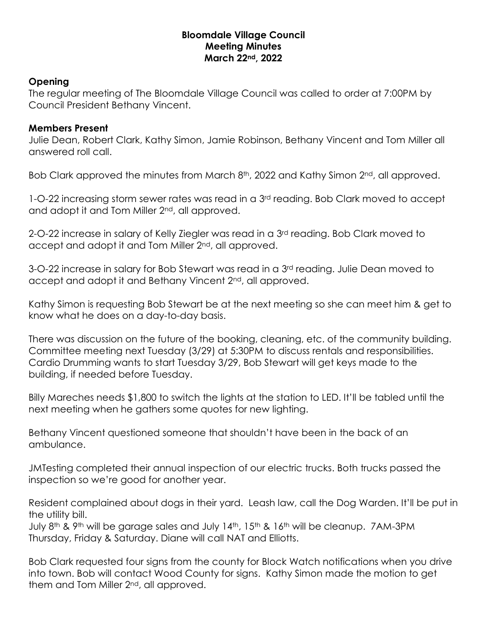## **Bloomdale Village Council Meeting Minutes March 22nd, 2022**

## **Opening**

The regular meeting of The Bloomdale Village Council was called to order at 7:00PM by Council President Bethany Vincent.

## **Members Present**

Julie Dean, Robert Clark, Kathy Simon, Jamie Robinson, Bethany Vincent and Tom Miller all answered roll call.

Bob Clark approved the minutes from March 8<sup>th</sup>, 2022 and Kathy Simon 2<sup>nd</sup>, all approved.

1-O-22 increasing storm sewer rates was read in a 3<sup>rd</sup> reading. Bob Clark moved to accept and adopt it and Tom Miller 2nd, all approved.

2-O-22 increase in salary of Kelly Ziegler was read in a 3rd reading. Bob Clark moved to accept and adopt it and Tom Miller 2<sup>nd</sup>, all approved.

3-O-22 increase in salary for Bob Stewart was read in a 3rd reading. Julie Dean moved to accept and adopt it and Bethany Vincent 2<sup>nd</sup>, all approved.

Kathy Simon is requesting Bob Stewart be at the next meeting so she can meet him & get to know what he does on a day-to-day basis.

There was discussion on the future of the booking, cleaning, etc. of the community building. Committee meeting next Tuesday (3/29) at 5:30PM to discuss rentals and responsibilities. Cardio Drumming wants to start Tuesday 3/29, Bob Stewart will get keys made to the building, if needed before Tuesday.

Billy Mareches needs \$1,800 to switch the lights at the station to LED. It'll be tabled until the next meeting when he gathers some quotes for new lighting.

Bethany Vincent questioned someone that shouldn't have been in the back of an ambulance.

JMTesting completed their annual inspection of our electric trucks. Both trucks passed the inspection so we're good for another year.

Resident complained about dogs in their yard. Leash law, call the Dog Warden. It'll be put in the utility bill.

July 8th & 9th will be garage sales and July 14th, 15th & 16th will be cleanup. 7AM-3PM Thursday, Friday & Saturday. Diane will call NAT and Elliotts.

Bob Clark requested four signs from the county for Block Watch notifications when you drive into town. Bob will contact Wood County for signs. Kathy Simon made the motion to get them and Tom Miller 2<sup>nd</sup>, all approved.